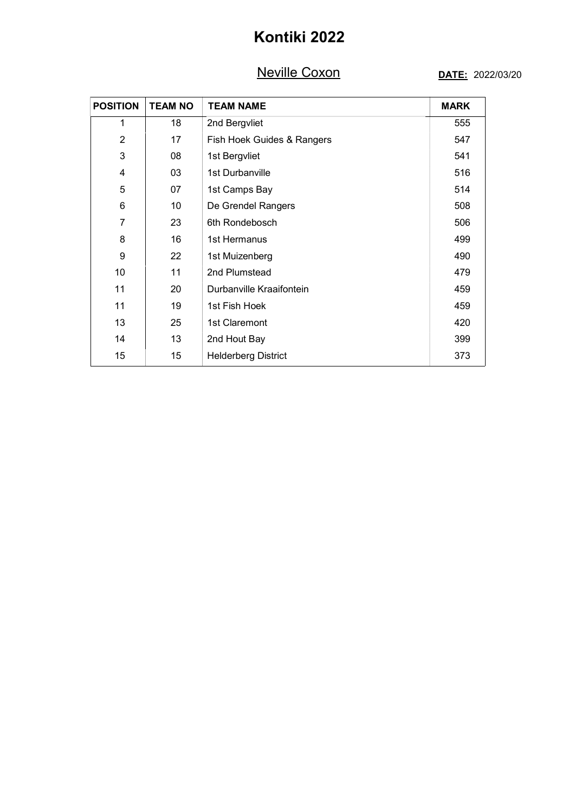## Neville Coxon

#### DATE: 2022/03/20

|                 | <b>Neville Coxon</b> |                            | DATE: 2022/03/20 |  |
|-----------------|----------------------|----------------------------|------------------|--|
| <b>POSITION</b> | <b>TEAM NO</b>       | <b>TEAM NAME</b>           | <b>MARK</b>      |  |
| $\mathbf{1}$    | 18                   | 2nd Bergvliet              | 555              |  |
| $\overline{2}$  | 17                   | Fish Hoek Guides & Rangers | 547              |  |
| $\mathfrak{B}$  | 08                   | 1st Bergvliet              | 541              |  |
| $\overline{4}$  | 03                   | 1st Durbanville            | 516              |  |
| $\mathbf 5$     | 07                   | 1st Camps Bay              | 514              |  |
| $\,6$           | $10$                 | De Grendel Rangers         | 508              |  |
| $\overline{7}$  | 23                   | 6th Rondebosch             | 506              |  |
| 8               | 16                   | 1st Hermanus               | 499              |  |
| 9               | 22                   | 1st Muizenberg             | 490              |  |
| $10$            | 11                   | 2nd Plumstead              | 479              |  |
| 11              | $20\,$               | Durbanville Kraaifontein   | 459              |  |
| 11              | 19                   | 1st Fish Hoek              | 459              |  |
| 13              | 25                   | 1st Claremont              | 420              |  |
| 14              | 13                   | 2nd Hout Bay               | 399              |  |
| 15              | 15                   | <b>Helderberg District</b> | 373              |  |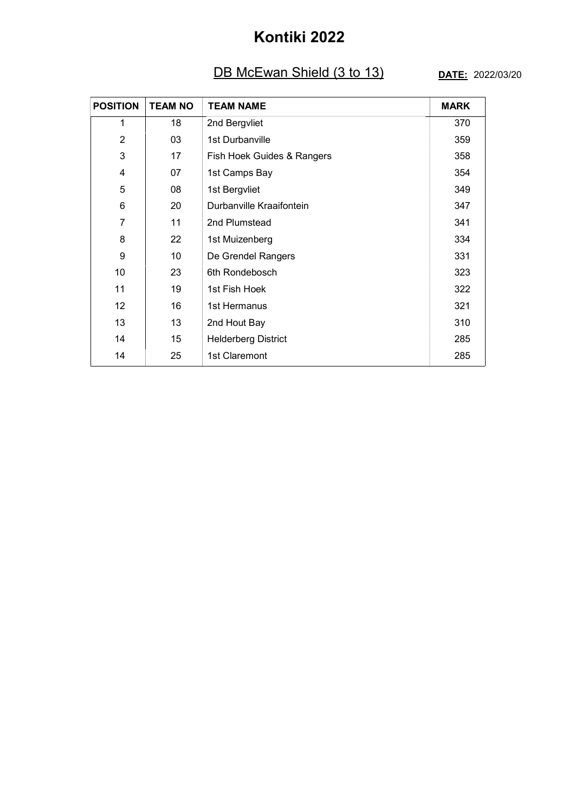### **DB McEwan Shield (3 to 13)** DATE: 2022/03/20

|                         |                | DB McEwan Shield (3 to 13) | DATE: 2022/03/20 |
|-------------------------|----------------|----------------------------|------------------|
| <b>POSITION</b>         | <b>TEAM NO</b> | <b>TEAM NAME</b>           | <b>MARK</b>      |
| $\mathbf{1}$            | 18             | 2nd Bergvliet              | 370              |
| $\overline{2}$          | 03             | 1st Durbanville            | 359              |
| $\mathfrak{B}$          | 17             | Fish Hoek Guides & Rangers | 358              |
| $\overline{\mathbf{4}}$ | 07             | 1st Camps Bay              | 354              |
| $\mathbf 5$             | 08             | 1st Bergvliet              | 349              |
| $\,6$                   | 20             | Durbanville Kraaifontein   | 347              |
| $\overline{7}$          | 11             | 2nd Plumstead              | 341              |
| 8                       | 22             | 1st Muizenberg             | 334              |
| 9                       | 10             | De Grendel Rangers         | 331              |
| 10                      | 23             | 6th Rondebosch             | 323              |
| 11                      | $19$           | 1st Fish Hoek              | 322              |
| 12                      | $16\,$         | 1st Hermanus               | 321              |
| 13                      | 13             | 2nd Hout Bay               | 310              |
| 14                      | 15             | <b>Helderberg District</b> | 285              |
| 14                      | 25             | 1st Claremont              | 285              |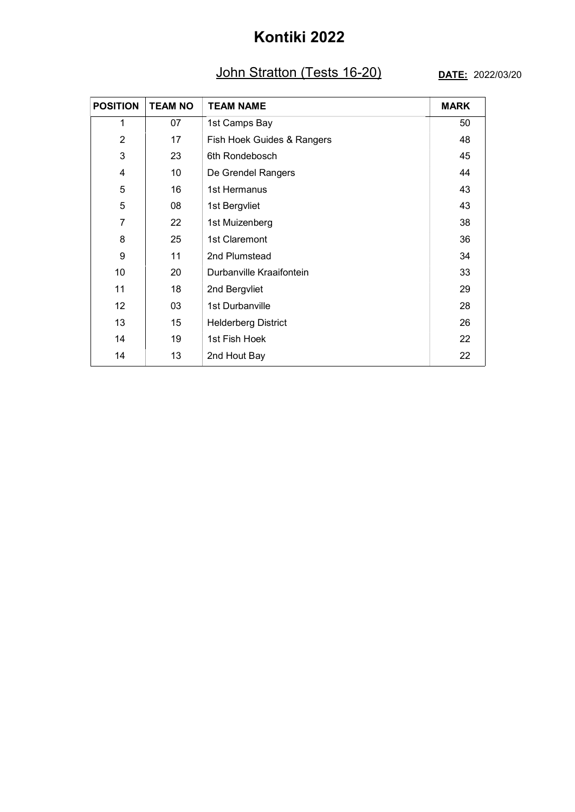#### John Stratton (Tests 16-20) DATE: 2022/03/20

|                 |                | John Stratton (Tests 16-20) |             |  |
|-----------------|----------------|-----------------------------|-------------|--|
| <b>POSITION</b> | <b>TEAM NO</b> | <b>TEAM NAME</b>            | <b>MARK</b> |  |
| $\mathbf{1}$    | 07             | 1st Camps Bay               | 50          |  |
| $\overline{2}$  | 17             | Fish Hoek Guides & Rangers  | 48          |  |
| $\sqrt{3}$      | 23             | 6th Rondebosch              | 45          |  |
| $\overline{4}$  | 10             | De Grendel Rangers          | 44          |  |
| $\mathbf 5$     | 16             | 1st Hermanus                | 43          |  |
| $\sqrt{5}$      | 08             | 1st Bergvliet               | 43          |  |
| $\overline{7}$  | 22             | 1st Muizenberg              | 38          |  |
| 8               | 25             | 1st Claremont               | 36          |  |
| 9               | 11             | 2nd Plumstead               | 34          |  |
| 10              | 20             | Durbanville Kraaifontein    | 33          |  |
| 11              | $18\,$         | 2nd Bergvliet               | 29          |  |
| 12              | 03             | 1st Durbanville             | 28          |  |
| 13              | 15             | <b>Helderberg District</b>  | 26          |  |
| 14              | 19             | 1st Fish Hoek               | 22          |  |
| 14              | 13             | 2nd Hout Bay                | 22          |  |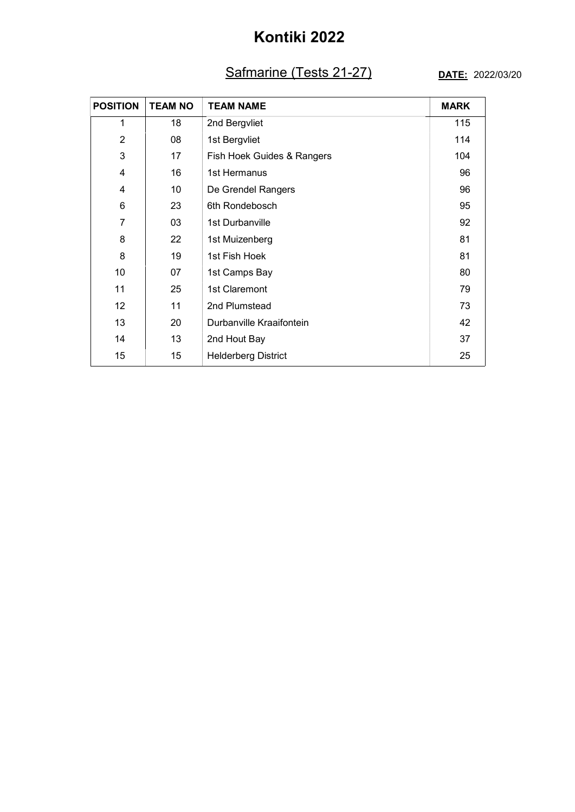### Safmarine (Tests 21-27) DATE: 2022/03/20

|                 |                | Safmarine (Tests 21-27)    | DATE: 2022/03/20 |
|-----------------|----------------|----------------------------|------------------|
| <b>POSITION</b> | <b>TEAM NO</b> | <b>TEAM NAME</b>           | <b>MARK</b>      |
| $\mathbf{1}$    | 18             | 2nd Bergvliet              | 115              |
| $\overline{2}$  | 08             | 1st Bergvliet              | 114              |
| $\sqrt{3}$      | 17             | Fish Hoek Guides & Rangers | 104              |
| $\overline{4}$  | 16             | 1st Hermanus               | 96               |
| $\overline{4}$  | 10             | De Grendel Rangers         | 96               |
| $\,6$           | 23             | 6th Rondebosch             | 95               |
| $\overline{7}$  | 03             | 1st Durbanville            | 92               |
| 8               | 22             | 1st Muizenberg             | 81               |
| 8               | 19             | 1st Fish Hoek              | 81               |
| 10              | 07             | 1st Camps Bay              | 80               |
| 11              | 25             | 1st Claremont              | 79               |
| 12              | 11             | 2nd Plumstead              | 73               |
| 13              | 20             | Durbanville Kraaifontein   | 42               |
| 14              | 13             | 2nd Hout Bay               | 37               |
|                 | 15             | <b>Helderberg District</b> | 25               |